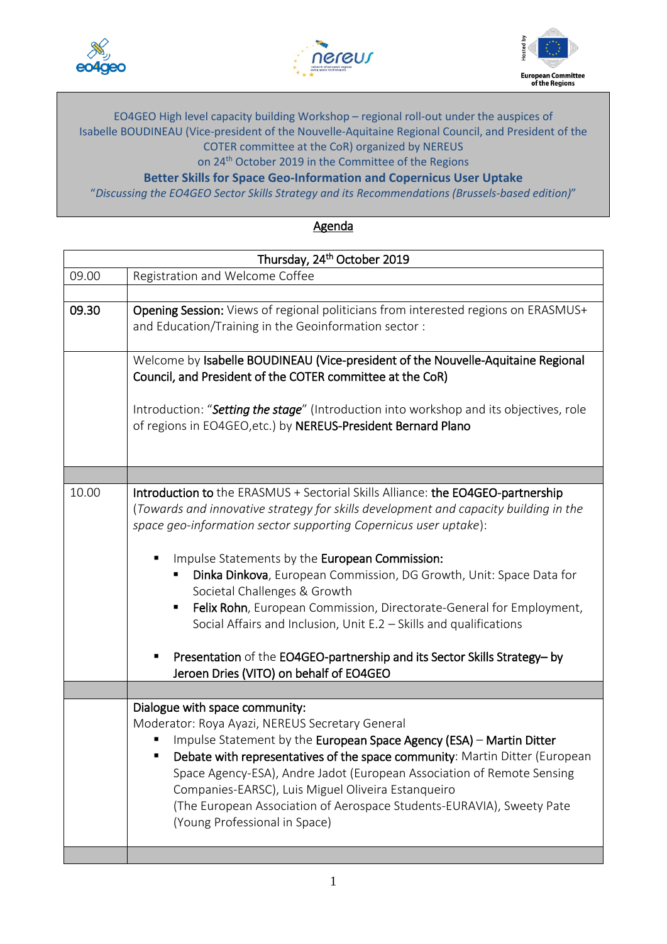





## EO4GEO High level capacity building Workshop – regional roll-out under the auspices of Isabelle BOUDINEAU (Vice-president of the Nouvelle-Aquitaine Regional Council, and President of the COTER committee at the CoR) organized by NEREUS

on 24<sup>th</sup> October 2019 in the Committee of the Regions

**Better Skills for Space Geo-Information and Copernicus User Uptake**

"*Discussing the EO4GEO Sector Skills Strategy and its Recommendations (Brussels-based edition)*"

**Agenda** 

| Thursday, 24 <sup>th</sup> October 2019 |                                                                                        |
|-----------------------------------------|----------------------------------------------------------------------------------------|
| 09.00                                   | Registration and Welcome Coffee                                                        |
|                                         |                                                                                        |
| 09.30                                   | Opening Session: Views of regional politicians from interested regions on ERASMUS+     |
|                                         | and Education/Training in the Geoinformation sector:                                   |
|                                         |                                                                                        |
|                                         | Welcome by Isabelle BOUDINEAU (Vice-president of the Nouvelle-Aquitaine Regional       |
|                                         | Council, and President of the COTER committee at the CoR)                              |
|                                         |                                                                                        |
|                                         | Introduction: "Setting the stage" (Introduction into workshop and its objectives, role |
|                                         | of regions in EO4GEO, etc.) by NEREUS-President Bernard Plano                          |
|                                         |                                                                                        |
|                                         |                                                                                        |
|                                         |                                                                                        |
| 10.00                                   | Introduction to the ERASMUS + Sectorial Skills Alliance: the EO4GEO-partnership        |
|                                         | (Towards and innovative strategy for skills development and capacity building in the   |
|                                         | space geo-information sector supporting Copernicus user uptake):                       |
|                                         | Impulse Statements by the European Commission:                                         |
|                                         | Dinka Dinkova, European Commission, DG Growth, Unit: Space Data for                    |
|                                         | Societal Challenges & Growth                                                           |
|                                         | Felix Rohn, European Commission, Directorate-General for Employment,<br>п              |
|                                         | Social Affairs and Inclusion, Unit E.2 - Skills and qualifications                     |
|                                         |                                                                                        |
|                                         | Presentation of the EO4GEO-partnership and its Sector Skills Strategy-by               |
|                                         | Jeroen Dries (VITO) on behalf of EO4GEO                                                |
|                                         |                                                                                        |
|                                         | Dialogue with space community:                                                         |
|                                         | Moderator: Roya Ayazi, NEREUS Secretary General                                        |
|                                         | Impulse Statement by the European Space Agency (ESA) - Martin Ditter                   |
|                                         | Debate with representatives of the space community: Martin Ditter (European            |
|                                         | Space Agency-ESA), Andre Jadot (European Association of Remote Sensing                 |
|                                         | Companies-EARSC), Luis Miguel Oliveira Estanqueiro                                     |
|                                         | (The European Association of Aerospace Students-EURAVIA), Sweety Pate                  |
|                                         | (Young Professional in Space)                                                          |
|                                         |                                                                                        |
|                                         |                                                                                        |